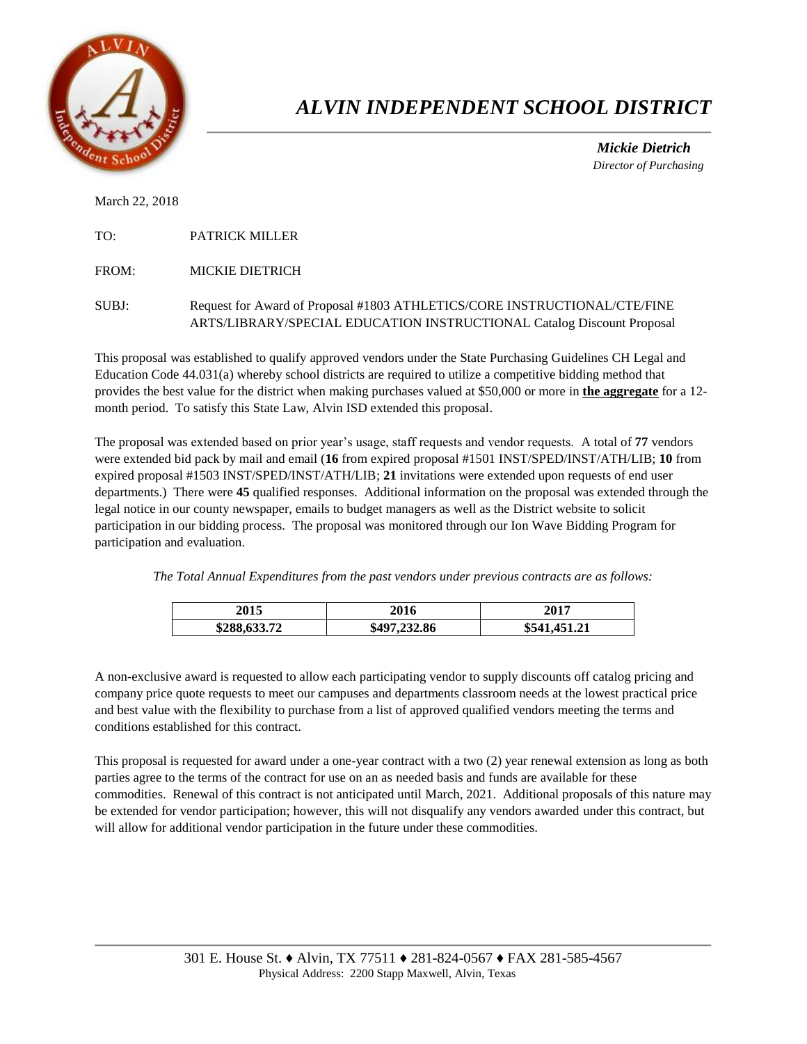

## *ALVIN INDEPENDENT SCHOOL DISTRICT*

 *Mickie Dietrich Director of Purchasing*

March 22, 2018

TO: PATRICK MILLER

FROM: MICKIE DIETRICH

SUBJ: Request for Award of Proposal #1803 ATHLETICS/CORE INSTRUCTIONAL/CTE/FINE ARTS/LIBRARY/SPECIAL EDUCATION INSTRUCTIONAL Catalog Discount Proposal

This proposal was established to qualify approved vendors under the State Purchasing Guidelines CH Legal and Education Code 44.031(a) whereby school districts are required to utilize a competitive bidding method that provides the best value for the district when making purchases valued at \$50,000 or more in **the aggregate** for a 12 month period. To satisfy this State Law, Alvin ISD extended this proposal.

The proposal was extended based on prior year's usage, staff requests and vendor requests. A total of **77** vendors were extended bid pack by mail and email (**16** from expired proposal #1501 INST/SPED/INST/ATH/LIB; **10** from expired proposal #1503 INST/SPED/INST/ATH/LIB; **21** invitations were extended upon requests of end user departments.) There were **45** qualified responses. Additional information on the proposal was extended through the legal notice in our county newspaper, emails to budget managers as well as the District website to solicit participation in our bidding process. The proposal was monitored through our Ion Wave Bidding Program for participation and evaluation.

*The Total Annual Expenditures from the past vendors under previous contracts are as follows:* 

| 2015         | 2016         | 2017         |
|--------------|--------------|--------------|
| \$288,633.72 | \$497,232.86 | \$541,451.21 |

A non-exclusive award is requested to allow each participating vendor to supply discounts off catalog pricing and company price quote requests to meet our campuses and departments classroom needs at the lowest practical price and best value with the flexibility to purchase from a list of approved qualified vendors meeting the terms and conditions established for this contract.

This proposal is requested for award under a one-year contract with a two (2) year renewal extension as long as both parties agree to the terms of the contract for use on an as needed basis and funds are available for these commodities. Renewal of this contract is not anticipated until March, 2021. Additional proposals of this nature may be extended for vendor participation; however, this will not disqualify any vendors awarded under this contract, but will allow for additional vendor participation in the future under these commodities.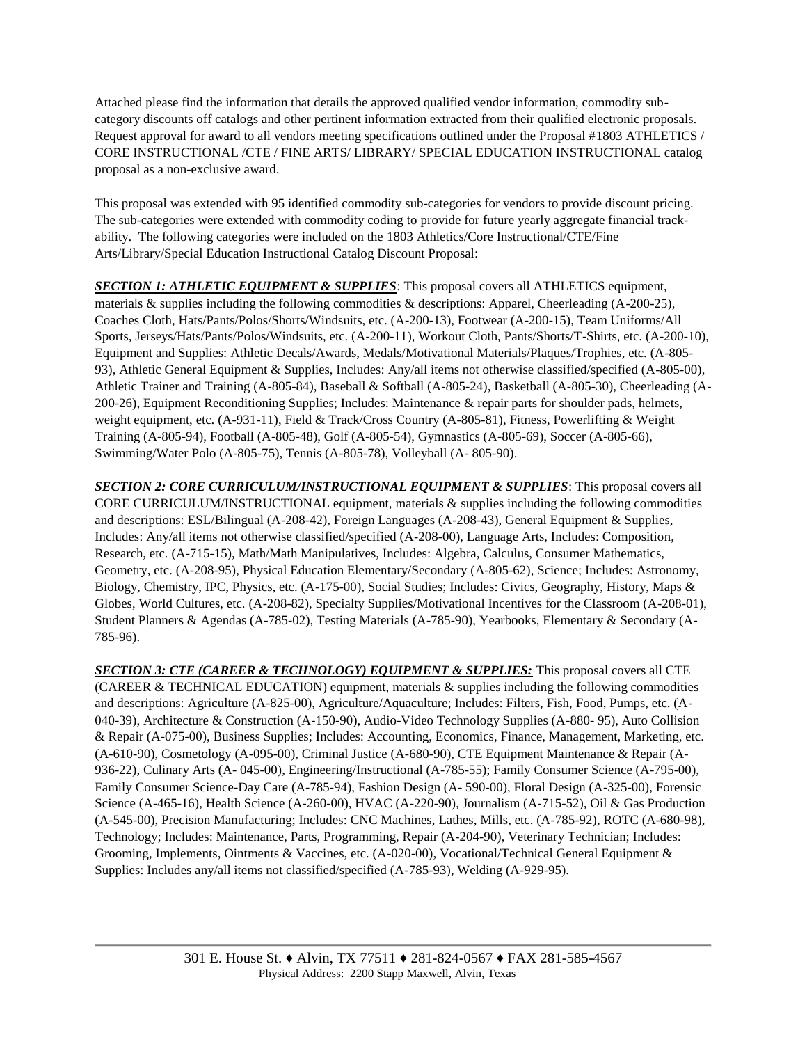Attached please find the information that details the approved qualified vendor information, commodity subcategory discounts off catalogs and other pertinent information extracted from their qualified electronic proposals. Request approval for award to all vendors meeting specifications outlined under the Proposal #1803 ATHLETICS / CORE INSTRUCTIONAL /CTE / FINE ARTS/ LIBRARY/ SPECIAL EDUCATION INSTRUCTIONAL catalog proposal as a non-exclusive award.

This proposal was extended with 95 identified commodity sub-categories for vendors to provide discount pricing. The sub-categories were extended with commodity coding to provide for future yearly aggregate financial trackability. The following categories were included on the 1803 Athletics/Core Instructional/CTE/Fine Arts/Library/Special Education Instructional Catalog Discount Proposal:

**SECTION 1: ATHLETIC EQUIPMENT & SUPPLIES**: This proposal covers all ATHLETICS equipment, materials & supplies including the following commodities & descriptions: Apparel, Cheerleading (A-200-25), Coaches Cloth, Hats/Pants/Polos/Shorts/Windsuits, etc. (A-200-13), Footwear (A-200-15), Team Uniforms/All Sports, Jerseys/Hats/Pants/Polos/Windsuits, etc. (A-200-11), Workout Cloth, Pants/Shorts/T-Shirts, etc. (A-200-10), Equipment and Supplies: Athletic Decals/Awards, Medals/Motivational Materials/Plaques/Trophies, etc. (A-805- 93), Athletic General Equipment & Supplies, Includes: Any/all items not otherwise classified/specified (A-805-00), Athletic Trainer and Training (A-805-84), Baseball & Softball (A-805-24), Basketball (A-805-30), Cheerleading (A-200-26), Equipment Reconditioning Supplies; Includes: Maintenance & repair parts for shoulder pads, helmets, weight equipment, etc. (A-931-11), Field & Track/Cross Country (A-805-81), Fitness, Powerlifting & Weight Training (A-805-94), Football (A-805-48), Golf (A-805-54), Gymnastics (A-805-69), Soccer (A-805-66), Swimming/Water Polo (A-805-75), Tennis (A-805-78), Volleyball (A- 805-90).

*SECTION 2: CORE CURRICULUM/INSTRUCTIONAL EQUIPMENT & SUPPLIES*: This proposal covers all CORE CURRICULUM/INSTRUCTIONAL equipment, materials & supplies including the following commodities and descriptions: ESL/Bilingual (A-208-42), Foreign Languages (A-208-43), General Equipment & Supplies, Includes: Any/all items not otherwise classified/specified (A-208-00), Language Arts, Includes: Composition, Research, etc. (A-715-15), Math/Math Manipulatives, Includes: Algebra, Calculus, Consumer Mathematics, Geometry, etc. (A-208-95), Physical Education Elementary/Secondary (A-805-62), Science; Includes: Astronomy, Biology, Chemistry, IPC, Physics, etc. (A-175-00), Social Studies; Includes: Civics, Geography, History, Maps & Globes, World Cultures, etc. (A-208-82), Specialty Supplies/Motivational Incentives for the Classroom (A-208-01), Student Planners & Agendas (A-785-02), Testing Materials (A-785-90), Yearbooks, Elementary & Secondary (A-785-96).

*SECTION 3: CTE (CAREER & TECHNOLOGY) EQUIPMENT & SUPPLIES:* This proposal covers all CTE (CAREER & TECHNICAL EDUCATION) equipment, materials & supplies including the following commodities and descriptions: Agriculture (A-825-00), Agriculture/Aquaculture; Includes: Filters, Fish, Food, Pumps, etc. (A-040-39), Architecture & Construction (A-150-90), Audio-Video Technology Supplies (A-880- 95), Auto Collision & Repair (A-075-00), Business Supplies; Includes: Accounting, Economics, Finance, Management, Marketing, etc. (A-610-90), Cosmetology (A-095-00), Criminal Justice (A-680-90), CTE Equipment Maintenance & Repair (A-936-22), Culinary Arts (A- 045-00), Engineering/Instructional (A-785-55); Family Consumer Science (A-795-00), Family Consumer Science-Day Care (A-785-94), Fashion Design (A- 590-00), Floral Design (A-325-00), Forensic Science (A-465-16), Health Science (A-260-00), HVAC (A-220-90), Journalism (A-715-52), Oil & Gas Production (A-545-00), Precision Manufacturing; Includes: CNC Machines, Lathes, Mills, etc. (A-785-92), ROTC (A-680-98), Technology; Includes: Maintenance, Parts, Programming, Repair (A-204-90), Veterinary Technician; Includes: Grooming, Implements, Ointments & Vaccines, etc. (A-020-00), Vocational/Technical General Equipment & Supplies: Includes any/all items not classified/specified (A-785-93), Welding (A-929-95).